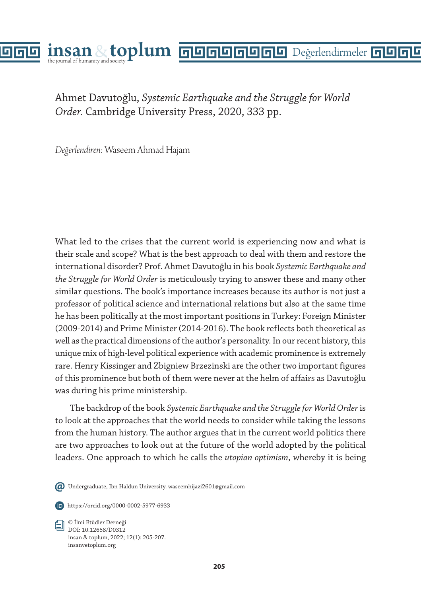

Ahmet Davutoğlu, *Systemic Earthquake and the Struggle for World Order.* Cambridge University Press, 2020, 333 pp.

*Değerlendiren:* Waseem Ahmad Hajam

What led to the crises that the current world is experiencing now and what is their scale and scope? What is the best approach to deal with them and restore the international disorder? Prof. Ahmet Davutoğlu in his book *Systemic Earthquake and the Struggle for World Order* is meticulously trying to answer these and many other similar questions. The book's importance increases because its author is not just a professor of political science and international relations but also at the same time he has been politically at the most important positions in Turkey: Foreign Minister (2009-2014) and Prime Minister (2014-2016). The book reflects both theoretical as well as the practical dimensions of the author's personality. In our recent history, this unique mix of high-level political experience with academic prominence is extremely rare. Henry Kissinger and Zbigniew Brzezinski are the other two important figures of this prominence but both of them were never at the helm of affairs as Davutoğlu was during his prime ministership.

The backdrop of the book *Systemic Earthquake and the Struggle for World Order* is to look at the approaches that the world needs to consider while taking the lessons from the human history. The author argues that in the current world politics there are two approaches to look out at the future of the world adopted by the political leaders. One approach to which he calls the *utopian optimism*, whereby it is being

Undergraduate, Ibn Haldun University. waseemhijazi2601@gmail.com



https://orcid.org/0000-0002-5977-6933

© İlmi Etüdler Derneği DOI: 10.12658/D0312 insan & toplum, 2022; 12(1): 205-207. insanvetoplum.org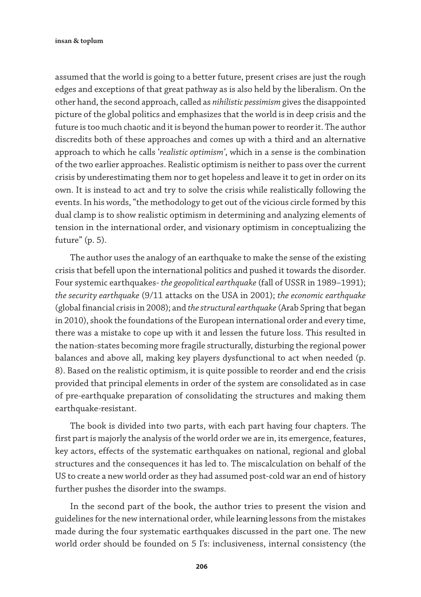assumed that the world is going to a better future, present crises are just the rough edges and exceptions of that great pathway as is also held by the liberalism. On the other hand, the second approach, called as *nihilistic pessimism* gives the disappointed picture of the global politics and emphasizes that the world is in deep crisis and the future is too much chaotic and it is beyond the human power to reorder it. The author discredits both of these approaches and comes up with a third and an alternative approach to which he calls '*realistic optimism'*, which in a sense is the combination of the two earlier approaches. Realistic optimism is neither to pass over the current crisis by underestimating them nor to get hopeless and leave it to get in order on its own. It is instead to act and try to solve the crisis while realistically following the events. In his words, "the methodology to get out of the vicious circle formed by this dual clamp is to show realistic optimism in determining and analyzing elements of tension in the international order, and visionary optimism in conceptualizing the future" (p. 5).

The author uses the analogy of an earthquake to make the sense of the existing crisis that befell upon the international politics and pushed it towards the disorder. Four systemic earthquakes- *the geopolitical earthquake* (fall of USSR in 1989–1991); *the security earthquake* (9/11 attacks on the USA in 2001); *the economic earthquake* (global financial crisis in 2008); and *the structural earthquake* (Arab Spring that began in 2010), shook the foundations of the European international order and every time, there was a mistake to cope up with it and lessen the future loss. This resulted in the nation-states becoming more fragile structurally, disturbing the regional power balances and above all, making key players dysfunctional to act when needed (p. 8). Based on the realistic optimism, it is quite possible to reorder and end the crisis provided that principal elements in order of the system are consolidated as in case of pre-earthquake preparation of consolidating the structures and making them earthquake-resistant.

The book is divided into two parts, with each part having four chapters. The first part is majorly the analysis of the world order we are in, its emergence, features, key actors, effects of the systematic earthquakes on national, regional and global structures and the consequences it has led to. The miscalculation on behalf of the US to create a new world order as they had assumed post-cold war an end of history further pushes the disorder into the swamps.

In the second part of the book, the author tries to present the vision and guidelines for the new international order, while learning lessons from the mistakes made during the four systematic earthquakes discussed in the part one. The new world order should be founded on 5 I's: inclusiveness, internal consistency (the